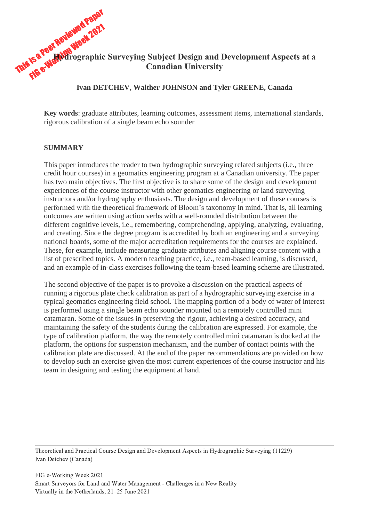# This is a Peer Reviewed Paper FS a Peer Reviewen , 2021<br>FS a Peer Reviewen 2021 **Hydrographic Surveying Subject Design and Development Aspects at a Canadian University**

## **Ivan DETCHEV, Walther JOHNSON and Tyler GREENE, Canada**

**Key words**: graduate attributes, learning outcomes, assessment items, international standards, rigorous calibration of a single beam echo sounder

#### **SUMMARY**

This paper introduces the reader to two hydrographic surveying related subjects (i.e., three credit hour courses) in a geomatics engineering program at a Canadian university. The paper has two main objectives. The first objective is to share some of the design and development experiences of the course instructor with other geomatics engineering or land surveying instructors and/or hydrography enthusiasts. The design and development of these courses is performed with the theoretical framework of Bloom's taxonomy in mind. That is, all learning outcomes are written using action verbs with a well-rounded distribution between the different cognitive levels, i.e., remembering, comprehending, applying, analyzing, evaluating, and creating. Since the degree program is accredited by both an engineering and a surveying national boards, some of the major accreditation requirements for the courses are explained. These, for example, include measuring graduate attributes and aligning course content with a list of prescribed topics. A modern teaching practice, i.e., team-based learning, is discussed, and an example of in-class exercises following the team-based learning scheme are illustrated.

The second objective of the paper is to provoke a discussion on the practical aspects of running a rigorous plate check calibration as part of a hydrographic surveying exercise in a typical geomatics engineering field school. The mapping portion of a body of water of interest is performed using a single beam echo sounder mounted on a remotely controlled mini catamaran. Some of the issues in preserving the rigour, achieving a desired accuracy, and maintaining the safety of the students during the calibration are expressed. For example, the type of calibration platform, the way the remotely controlled mini catamaran is docked at the platform, the options for suspension mechanism, and the number of contact points with the calibration plate are discussed. At the end of the paper recommendations are provided on how to develop such an exercise given the most current experiences of the course instructor and his team in designing and testing the equipment at hand.

Theoretical and Practical Course Design and Development Aspects in Hydrographic Surveying (11229) Ivan Detchev (Canada)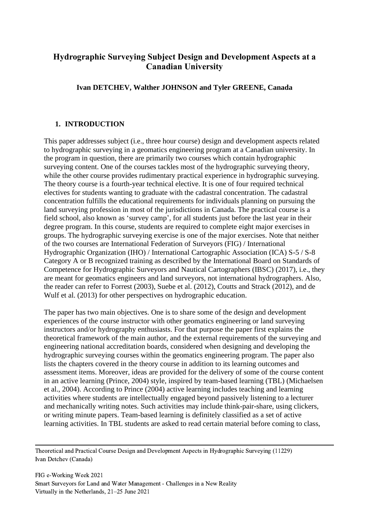# **Hydrographic Surveying Subject Design and Development Aspects at a Canadian University**

# **Ivan DETCHEV, Walther JOHNSON and Tyler GREENE, Canada**

# **1. INTRODUCTION**

This paper addresses subject (i.e., three hour course) design and development aspects related to hydrographic surveying in a geomatics engineering program at a Canadian university. In the program in question, there are primarily two courses which contain hydrographic surveying content. One of the courses tackles most of the hydrographic surveying theory, while the other course provides rudimentary practical experience in hydrographic surveying. The theory course is a fourth-year technical elective. It is one of four required technical electives for students wanting to graduate with the cadastral concentration. The cadastral concentration fulfills the educational requirements for individuals planning on pursuing the land surveying profession in most of the jurisdictions in Canada. The practical course is a field school, also known as 'survey camp', for all students just before the last year in their degree program. In this course, students are required to complete eight major exercises in groups. The hydrographic surveying exercise is one of the major exercises. Note that neither of the two courses are International Federation of Surveyors (FIG) / International Hydrographic Organization (IHO) / International Cartographic Association (ICA) S-5 / S-8 Category A or B recognized training as described by the International Board on Standards of Competence for Hydrographic Surveyors and Nautical Cartographers (IBSC) (2017), i.e., they are meant for geomatics engineers and land surveyors, not international hydrographers. Also, the reader can refer to Forrest (2003), Suebe et al. (2012), Coutts and Strack (2012), and de Wulf et al. (2013) for other perspectives on hydrographic education.

The paper has two main objectives. One is to share some of the design and development experiences of the course instructor with other geomatics engineering or land surveying instructors and/or hydrography enthusiasts. For that purpose the paper first explains the theoretical framework of the main author, and the external requirements of the surveying and engineering national accreditation boards, considered when designing and developing the hydrographic surveying courses within the geomatics engineering program. The paper also lists the chapters covered in the theory course in addition to its learning outcomes and assessment items. Moreover, ideas are provided for the delivery of some of the course content in an active learning (Prince, 2004) style, inspired by team-based learning (TBL) (Michaelsen et al., 2004). According to Prince (2004) active learning includes teaching and learning activities where students are intellectually engaged beyond passively listening to a lecturer and mechanically writing notes. Such activities may include think-pair-share, using clickers, or writing minute papers. Team-based learning is definitely classified as a set of active learning activities. In TBL students are asked to read certain material before coming to class,

Theoretical and Practical Course Design and Development Aspects in Hydrographic Surveying (11229) Ivan Detchev (Canada)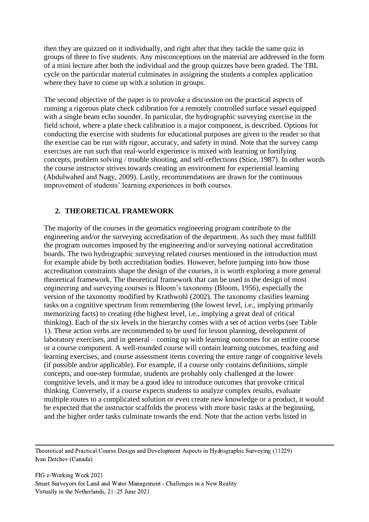then they are quizzed on it individually, and right after that they tackle the same quiz in groups of three to five students. Any misconceptions on the material are addressed in the form of a mini lecture after both the individual and the group quizzes have been graded. The TBL cycle on the particular material culminates in assigning the students a complex application where they have to come up with a solution in groups.

The second objective of the paper is to provoke a discussion on the practical aspects of running a rigorous plate check calibration for a remotely controlled surface vessel equipped with a single beam echo sounder. In particular, the hydrographic surveying exercise in the field school, where a plate check calibration is a major component, is described. Options for conducting the exercise with students for educational purposes are given to the reader so that the exercise can be run with rigour, accuracy, and safety in mind. Note that the survey camp exercises are run such that real-world experience is mixed with learning or fortifying concepts, problem solving / trouble shooting, and self-reflections (Stice, 1987). In other words the course instructor strives towards creating an environment for experiential learning (Abdulwahed and Nagy, 2009). Lastly, recommendations are drawn for the continuous improvement of students' learning experiences in both courses.

# **2. THEORETICAL FRAMEWORK**

The majority of the courses in the geomatics engineering program contribute to the engineering and/or the surveying accreditation of the department. As such they must fullfill the program outcomes imposed by the engineering and/or surveying national accreditation boards. The two hydrographic surveying related courses mentioned in the introduction must for example abide by both accreditation bodies. However, before jumping into how those accreditation constraints shape the design of the courses, it is worth exploring a more general theoretical framework. The theoretical framework that can be used in the design of most engineering and surveying courses is Bloom's taxonomy (Bloom, 1956), especially the version of the taxonomy modified by Krathwohl (2002). The taxonomy clasifies learning tasks on a cognitive spectrum from remembering (the lowest level, i.e., implying primarily memorizing facts) to creating (the highest level, i.e., implying a great deal of critical thinking). Each of the six levels in the hierarchy comes with a set of action verbs (see [Table](#page-3-0)  [1\)](#page-3-0). These action verbs are recommended to be used for lesson planning, development of laboratory exercises, and in general – coming up with learning outcomes for an entire course or a course component. A well-rounded course will contain learning outcomes, teaching and learning exercises, and course assessment items covering the entire range of congnitive levels (if possible and/or applicable). For example, if a course only contains definitions, simple concepts, and one-step formulae, students are probably only challenged at the lower congnitive levels, and it may be a good idea to introduce outcomes that provoke critical thinking. Conversely, if a course expects students to analyze complex results, evaluate multiple routes to a complicated solution or even create new knowledge or a product, it would be expected that the instructor scaffolds the process with more basic tasks at the beginning, and the higher order tasks culminate towards the end. Note that the action verbs listed in

Theoretical and Practical Course Design and Development Aspects in Hydrographic Surveying (11229) Ivan Detchev (Canada)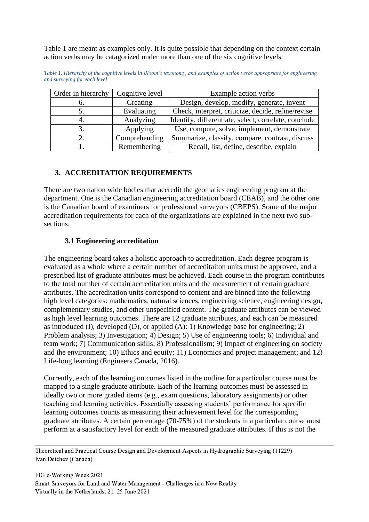[Table 1](#page-3-0) are meant as examples only. It is quite possible that depending on the context certain action verbs may be catagorized under more than one of the six cognitive levels.

| Order in hierarchy | Cognitive level | Example action verbs                                 |
|--------------------|-----------------|------------------------------------------------------|
| n.                 | Creating        | Design, develop, modify, generate, invent            |
|                    | Evaluating      | Check, interpret, criticize, decide, refine/revise   |
|                    | Analyzing       | Identify, differentiate, select, correlate, conclude |
|                    | Applying        | Use, compute, solve, implement, demonstrate          |
|                    | Comprehending   | Summarize, classify, compare, contrast, discuss      |
|                    | Remembering     | Recall, list, define, describe, explain              |

<span id="page-3-0"></span>*Table 1. Hierarchy of the cognitive levels in Bloom's taxonomy, and examples of action verbs appropriate for engineering and surveying for each level*

# **3. ACCREDITATION REQUIREMENTS**

There are two nation wide bodies that accredit the geomatics engineering program at the department. One is the Canadian engineering accreditation board (CEAB), and the other one is the Canadian board of examiners for professional surveyors (CBEPS). Some of the major accreditation requirements for each of the organizations are explained in the next two subsections.

# **3.1 Engineering accreditation**

The engineering board takes a holistic approach to accreditation. Each degree program is evaluated as a whole where a certain number of accreditaiton units must be approved, and a prescribed list of graduate attributes must be achieved. Each course in the program contributes to the total number of certain accreditation units and the measurement of certain graduate attributes. The accreditation units correspond to content and are binned into the following high level categories: mathematics, natural sciences, engineering science, engineering design, complementary studies, and other unspecified content. The graduate attributes can be viewed as high level learning outcomes. There are 12 graduate attributes, and each can be measured as introduced (I), developed (D), or applied  $(A)$ : 1) Knowledge base for engineering; 2) Problem analysis; 3) Investigation; 4) Design; 5) Use of engineering tools; 6) Individual and team work; 7) Communication skills; 8) Professionalism; 9) Impact of engineering on society and the environment; 10) Ethics and equity; 11) Economics and project management; and 12) Life-long learning (Engineers Canada, 2016).

Currently, each of the learning outcomes listed in the outline for a particular course must be mapped to a single graduate attribute. Each of the learning outcomes must be assessed in ideally two or more graded items (e.g., exam questions, laboratory assignments) or other teaching and learning activities. Essentially assessing students' performance for specific learning outcomes counts as measuring their achievement level for the corresponding graduate atrributes. A certain percentage (70-75%) of the students in a particular course must perform at a satisfactory level for each of the measured graduate attributes. If this is not the

Theoretical and Practical Course Design and Development Aspects in Hydrographic Surveying (11229) Ivan Detchev (Canada)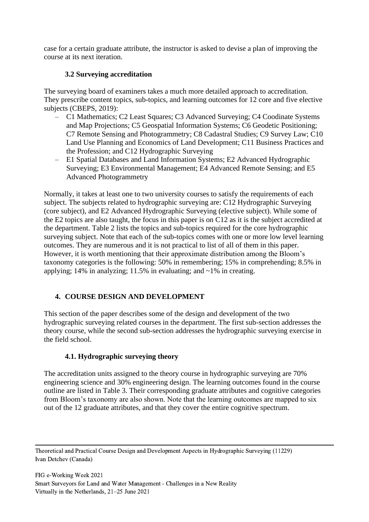case for a certain graduate attribute, the instructor is asked to devise a plan of improving the course at its next iteration.

# **3.2 Surveying accreditation**

The surveying board of examiners takes a much more detailed approach to accreditation. They prescribe content topics, sub-topics, and learning outcomes for 12 core and five elective subjects (CBEPS, 2019):

- C1 Mathematics; C2 Least Squares; C3 Advanced Surveying; C4 Coodinate Systems and Map Projections; C5 Geospatial Information Systems; C6 Geodetic Positioning; C7 Remote Sensing and Photogrammetry; C8 Cadastral Studies; C9 Survey Law; C10 Land Use Planning and Economics of Land Development; C11 Business Practices and the Profession; and C12 Hydrographic Surveying
- E1 Spatial Databases and Land Information Systems; E2 Advanced Hydrographic Surveying; E3 Environmental Management; E4 Advanced Remote Sensing; and E5 Advanced Photogrammetry

Normally, it takes at least one to two university courses to satisfy the requirements of each subject. The subjects related to hydrographic surveying are: C12 Hydrographic Surveying (core subject), and E2 Advanced Hydrographic Surveying (elective subject). While some of the E2 topics are also taught, the focus in this paper is on C12 as it is the subject accredited at the department. [Table 2](#page-5-0) lists the topics and sub-topics required for the core hydrographic surveying subject. Note that each of the sub-topics comes with one or more low level learning outcomes. They are numerous and it is not practical to list of all of them in this paper. However, it is worth mentioning that their approximate distribution among the Bloom's taxonomy categories is the following: 50% in remembering; 15% in comprehending; 8.5% in applying; 14% in analyzing; 11.5% in evaluating; and  $\sim$ 1% in creating.

# **4. COURSE DESIGN AND DEVELOPMENT**

This section of the paper describes some of the design and development of the two hydrographic surveying related courses in the department. The first sub-section addresses the theory course, while the second sub-section addresses the hydrographic surveying exercise in the field school.

# **4.1. Hydrographic surveying theory**

The accreditation units assigned to the theory course in hydrographic surveying are 70% engineering science and 30% engineering design. The learning outcomes found in the course outline are listed in [Table 3.](#page-6-0) Their corresponding graduate attributes and cognitive categories from Bloom's taxonomy are also shown. Note that the learning outcomes are mapped to six out of the 12 graduate attributes, and that they cover the entire cognitive spectrum.

Theoretical and Practical Course Design and Development Aspects in Hydrographic Surveying (11229) Ivan Detchev (Canada)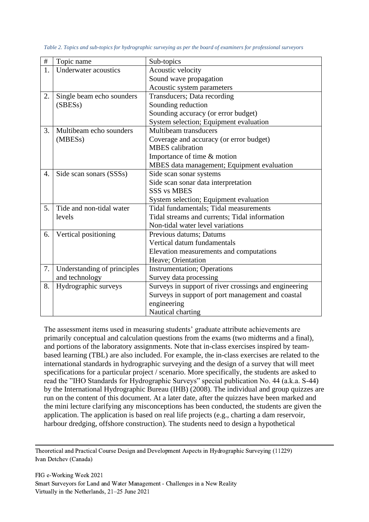| $\#$ | Topic name                                       | Sub-topics                                            |
|------|--------------------------------------------------|-------------------------------------------------------|
| 1.   | Underwater acoustics                             | Acoustic velocity                                     |
|      |                                                  | Sound wave propagation                                |
|      |                                                  | Acoustic system parameters                            |
| 2.   | Single beam echo sounders                        | Transducers; Data recording                           |
|      | (SBES <sub>s</sub> )                             | Sounding reduction                                    |
|      |                                                  | Sounding accuracy (or error budget)                   |
|      |                                                  | System selection; Equipment evaluation                |
| 3.   | Multibeam echo sounders<br>Multibeam transducers |                                                       |
|      | (MBESs)                                          | Coverage and accuracy (or error budget)               |
|      |                                                  | <b>MBES</b> calibration                               |
|      |                                                  | Importance of time & motion                           |
|      |                                                  | MBES data management; Equipment evaluation            |
| 4.   | Side scan sonars (SSSs)                          | Side scan sonar systems                               |
|      |                                                  | Side scan sonar data interpretation                   |
|      |                                                  | <b>SSS vs MBES</b>                                    |
|      |                                                  | System selection; Equipment evaluation                |
| 5.   | Tide and non-tidal water                         | Tidal fundamentals; Tidal measurements                |
|      | levels                                           | Tidal streams and currents; Tidal information         |
|      |                                                  | Non-tidal water level variations                      |
| 6.   | Vertical positioning                             | Previous datums; Datums                               |
|      |                                                  | Vertical datum fundamentals                           |
|      |                                                  | Elevation measurements and computations               |
|      |                                                  | Heave; Orientation                                    |
| 7.   | Understanding of principles                      | <b>Instrumentation</b> ; Operations                   |
|      | and technology                                   | Survey data processing                                |
| 8.   | Hydrographic surveys                             | Surveys in support of river crossings and engineering |
|      |                                                  | Surveys in support of port management and coastal     |
|      |                                                  | engineering                                           |
|      |                                                  | Nautical charting                                     |

<span id="page-5-0"></span>*Table 2. Topics and sub-topics for hydrographic surveying as per the board of examiners for professional surveyors*

The assessment items used in measuring students' graduate attribute achievements are primarily conceptual and calculation questions from the exams (two midterms and a final), and portions of the laboratory assignments. Note that in-class exercises inspired by teambased learning (TBL) are also included. For example, the in-class exercises are related to the international standards in hydrographic surveying and the design of a survey that will meet specifications for a particular project / scenario. More specifically, the students are asked to read the "IHO Standards for Hydrographic Surveys" special publication No. 44 (a.k.a. S-44) by the International Hydrographic Bureau (IHB) (2008). The individual and group quizzes are run on the content of this document. At a later date, after the quizzes have been marked and the mini lecture clarifying any misconceptions has been conducted, the students are given the application. The application is based on real life projects (e.g., charting a dam reservoir, harbour dredging, offshore construction). The students need to design a hypothetical

Theoretical and Practical Course Design and Development Aspects in Hydrographic Surveying (11229) Ivan Detchev (Canada)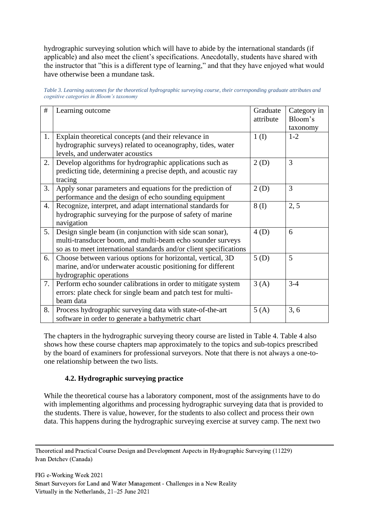hydrographic surveying solution which will have to abide by the international standards (if applicable) and also meet the client's specifications. Anecdotally, students have shared with the instructor that "this is a different type of learning," and that they have enjoyed what would have otherwise been a mundane task.

<span id="page-6-0"></span>

| Table 3. Learning outcomes for the theoretical hydrographic surveying course, their corresponding graduate attributes and |
|---------------------------------------------------------------------------------------------------------------------------|
| cognitive categories in Bloom's taxonomy                                                                                  |

| #  | Learning outcome                                                   | Graduate  | Category in |
|----|--------------------------------------------------------------------|-----------|-------------|
|    |                                                                    | attribute | Bloom's     |
|    |                                                                    |           | taxonomy    |
| 1. | Explain theoretical concepts (and their relevance in               | 1(I)      | $1 - 2$     |
|    | hydrographic surveys) related to oceanography, tides, water        |           |             |
|    | levels, and underwater acoustics                                   |           |             |
| 2. | Develop algorithms for hydrographic applications such as           | 2(D)      | 3           |
|    | predicting tide, determining a precise depth, and acoustic ray     |           |             |
|    | tracing                                                            |           |             |
| 3. | Apply sonar parameters and equations for the prediction of         | 2(D)      | 3           |
|    | performance and the design of echo sounding equipment              |           |             |
| 4. | Recognize, interpret, and adapt international standards for        | 8(I)      | 2, 5        |
|    | hydrographic surveying for the purpose of safety of marine         |           |             |
|    | navigation                                                         |           |             |
| 5. | Design single beam (in conjunction with side scan sonar),          | 4(D)      | 6           |
|    | multi-transducer boom, and multi-beam echo sounder surveys         |           |             |
|    | so as to meet international standards and/or client specifications |           |             |
| 6. | Choose between various options for horizontal, vertical, 3D        | 5(D)      | 5           |
|    | marine, and/or underwater acoustic positioning for different       |           |             |
|    | hydrographic operations                                            |           |             |
| 7. | Perform echo sounder calibrations in order to mitigate system      | 3(A)      | $3-4$       |
|    | errors: plate check for single beam and patch test for multi-      |           |             |
|    | beam data                                                          |           |             |
| 8. | Process hydrographic surveying data with state-of-the-art          | 5(A)      | 3, 6        |
|    | software in order to generate a bathymetric chart                  |           |             |

The chapters in the hydrographic surveying theory course are listed in [Table 4. Table 4](#page-7-0) also shows how these course chapters map approximately to the topics and sub-topics prescribed by the board of examiners for professional surveyors. Note that there is not always a one-toone relationship between the two lists.

# **4.2. Hydrographic surveying practice**

While the theoretical course has a laboratory component, most of the assignments have to do with implementing algorithms and processing hydrographic surveying data that is provided to the students. There is value, however, for the students to also collect and process their own data. This happens during the hydrographic surveying exercise at survey camp. The next two

Theoretical and Practical Course Design and Development Aspects in Hydrographic Surveying (11229) Ivan Detchev (Canada)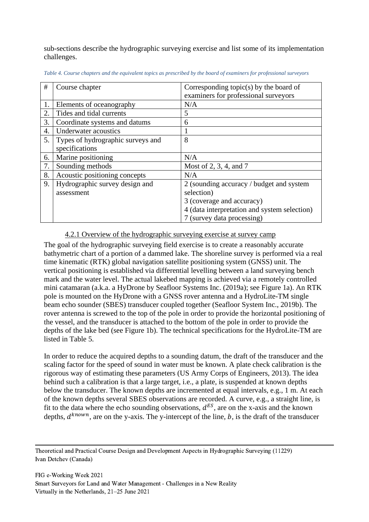sub-sections describe the hydrographic surveying exercise and list some of its implementation challenges.

| #  | Course chapter                    | Corresponding topic(s) by the board of       |
|----|-----------------------------------|----------------------------------------------|
|    |                                   | examiners for professional surveyors         |
|    | Elements of oceanography          | N/A                                          |
| 2. | Tides and tidal currents          | 5                                            |
| 3. | Coordinate systems and datums     | 6                                            |
| 4. | Underwater acoustics              |                                              |
| 5. | Types of hydrographic surveys and | 8                                            |
|    | specifications                    |                                              |
| 6. | Marine positioning                | N/A                                          |
| 7. | Sounding methods                  | Most of 2, 3, 4, and 7                       |
| 8. | Acoustic positioning concepts     | N/A                                          |
| 9. | Hydrographic survey design and    | 2 (sounding accuracy / budget and system     |
|    | assessment                        | selection)                                   |
|    |                                   | 3 (coverage and accuracy)                    |
|    |                                   | 4 (data interpretation and system selection) |
|    |                                   | 7 (survey data processing)                   |

<span id="page-7-0"></span>*Table 4. Course chapters and the equivalent topics as prescribed by the board of examiners for professional surveyors*

#### 4.2.1 Overview of the hydrographic surveying exercise at survey camp

The goal of the hydrographic surveying field exercise is to create a reasonably accurate bathymetric chart of a portion of a dammed lake. The shoreline survey is performed via a real time kinematic (RTK) global navigation satellite positioning system (GNSS) unit. The vertical positioning is established via differential levelling between a land surveying bench mark and the water level. The actual lakebed mapping is achieved via a remotely controlled mini catamaran (a.k.a. a HyDrone by Seafloor Systems Inc. (2019a); see [Figure 1a](#page-8-0)). An RTK pole is mounted on the HyDrone with a GNSS rover antenna and a HydroLite-TM single beam echo sounder (SBES) transducer coupled together (Seafloor System Inc., 2019b). The rover antenna is screwed to the top of the pole in order to provide the horizontal positioning of the vessel, and the transducer is attached to the bottom of the pole in order to provide the depths of the lake bed (see [Figure 1b](#page-8-0)). The technical specifications for the HydroLite-TM are listed in [Table 5.](#page-8-1)

In order to reduce the acquired depths to a sounding datum, the draft of the transducer and the scaling factor for the speed of sound in water must be known. A plate check calibration is the rigorous way of estimating these parameters (US Army Corps of Engineers, 2013). The idea behind such a calibration is that a large target, i.e., a plate, is suspended at known depths below the transducer. The known depths are incremented at equal intervals, e.g., 1 m. At each of the known depths several SBES observations are recorded. A curve, e.g., a straight line, is fit to the data where the echo sounding observations,  $d^{ES}$ , are on the x-axis and the known depths,  $d^{known}$ , are on the y-axis. The y-intercept of the line, b, is the draft of the transducer

Theoretical and Practical Course Design and Development Aspects in Hydrographic Surveying (11229) Ivan Detchev (Canada)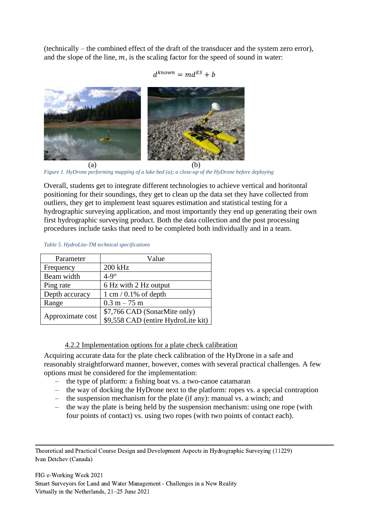(technically – the combined effect of the draft of the transducer and the system zero error), and the slope of the line,  $m$ , is the scaling factor for the speed of sound in water:

$$
d^{known} = md^{ES} + b
$$



*Figure 1. HyDrone performing mapping of a lake bed (a); a close-up of the HyDrone before deploying*

<span id="page-8-0"></span>Overall, students get to integrate different technologies to achieve vertical and horitontal positioning for their soundings, they get to clean up the data set they have collected from outliers, they get to implement least squares estimation and statistical testing for a hydrographic surveying application, and most importantly they end up generating their own first hydrographic surveying product. Both the data collection and the post processing procedures include tasks that need to be completed both individually and in a team.

| Parameter        | Value                              |
|------------------|------------------------------------|
| Frequency        | 200 kHz                            |
| Beam width       | $4-9^\circ$                        |
| Ping rate        | 6 Hz with 2 Hz output              |
| Depth accuracy   | $1 \text{ cm} / 0.1\%$ of depth    |
| Range            | $0.3 m - 75 m$                     |
|                  | \$7,766 CAD (SonarMite only)       |
| Approximate cost | \$9,558 CAD (entire HydroLite kit) |

#### <span id="page-8-1"></span>*Table 5. HydroLite-TM technical specifications*

# 4.2.2 Implementation options for a plate check calibration

Acquiring accurate data for the plate check calibration of the HyDrone in a safe and reasonably straightforward manner, however, comes with several practical challenges. A few options must be considered for the implementation:

- the type of platform: a fishing boat vs. a two-canoe catamaran
- the way of docking the HyDrone next to the platform: ropes vs. a special contraption
- the suspension mechanism for the plate (if any): manual vs. a winch; and
- the way the plate is being held by the suspension mechanism: using one rope (with four points of contact) vs. using two ropes (with two points of contact each).

Theoretical and Practical Course Design and Development Aspects in Hydrographic Surveying (11229) Ivan Detchev (Canada)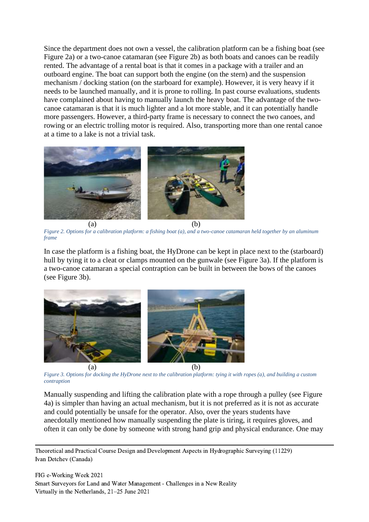Since the department does not own a vessel, the calibration platform can be a fishing boat (see [Figure 2a](#page-9-0)) or a two-canoe catamaran (see [Figure 2b](#page-9-0)) as both boats and canoes can be readily rented. The advantage of a rental boat is that it comes in a package with a trailer and an outboard engine. The boat can support both the engine (on the stern) and the suspension mechanism / docking station (on the starboard for example). However, it is very heavy if it needs to be launched manually, and it is prone to rolling. In past course evaluations, students have complained about having to manually launch the heavy boat. The advantage of the twocanoe catamaran is that it is much lighter and a lot more stable, and it can potentially handle more passengers. However, a third-party frame is necessary to connect the two canoes, and rowing or an electric trolling motor is required. Also, transporting more than one rental canoe at a time to a lake is not a trivial task.



*Figure 2. Options for a calibration platform: a fishing boat (a), and a two-canoe catamaran held together by an aluminum frame*

<span id="page-9-0"></span>In case the platform is a fishing boat, the HyDrone can be kept in place next to the (starboard) hull by tying it to a cleat or clamps mounted on the gunwale (see [Figure 3a](#page-9-1)). If the platform is a two-canoe catamaran a special contraption can be built in between the bows of the canoes (see [Figure 3b](#page-9-1)).



*Figure 3. Options for docking the HyDrone next to the calibration platform: tying it with ropes (a), and building a custom contraption*

<span id="page-9-1"></span>Manually suspending and lifting the calibration plate with a rope through a pulley (see [Figure](#page-10-0)  [4a](#page-10-0)) is simpler than having an actual mechanism, but it is not preferred as it is not as accurate and could potentially be unsafe for the operator. Also, over the years students have anecdotally mentioned how manually suspending the plate is tiring, it requires gloves, and often it can only be done by someone with strong hand grip and physical endurance. One may

Theoretical and Practical Course Design and Development Aspects in Hydrographic Surveying (11229) Ivan Detchev (Canada)

FIG e-Working Week 2021 Smart Surveyors for Land and Water Management - Challenges in a New Reality Virtually in the Netherlands, 21–25 June 2021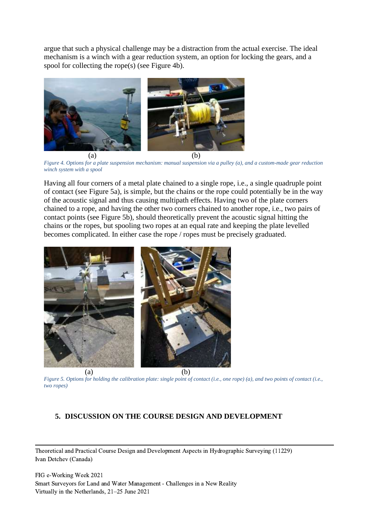argue that such a physical challenge may be a distraction from the actual exercise. The ideal mechanism is a winch with a gear reduction system, an option for locking the gears, and a spool for collecting the rope(s) (see [Figure 4b](#page-10-0)).



*Figure 4. Options for a plate suspension mechanism: manual suspension via a pulley (a), and a custom-made gear reduction winch system with a spool*

<span id="page-10-0"></span>Having all four corners of a metal plate chained to a single rope, i.e., a single quadruple point of contact (see [Figure 5a](#page-10-1)), is simple, but the chains or the rope could potentially be in the way of the acoustic signal and thus causing multipath effects. Having two of the plate corners chained to a rope, and having the other two corners chained to another rope, i.e., two pairs of contact points (see [Figure 5b](#page-10-1)), should theoretically prevent the acoustic signal hitting the chains or the ropes, but spooling two ropes at an equal rate and keeping the plate levelled becomes complicated. In either case the rope / ropes must be precisely graduated.



<span id="page-10-1"></span>*Figure 5. Options for holding the calibration plate: single point of contact (i.e., one rope) (a), and two points of contact (i.e., two ropes)*

# **5. DISCUSSION ON THE COURSE DESIGN AND DEVELOPMENT**

Theoretical and Practical Course Design and Development Aspects in Hydrographic Surveying (11229) Ivan Detchev (Canada)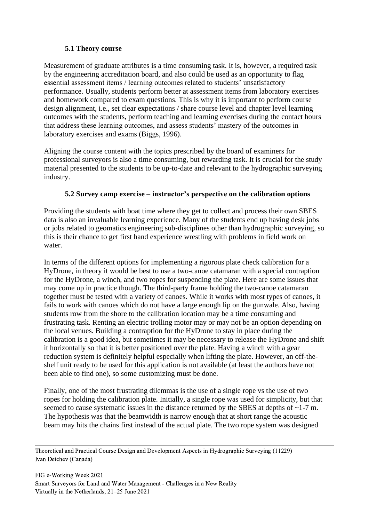# **5.1 Theory course**

Measurement of graduate attributes is a time consuming task. It is, however, a required task by the engineering accreditation board, and also could be used as an opportunity to flag essential assessment items / learning outcomes related to students' unsatisfactory performance. Usually, students perform better at assessment items from laboratory exercises and homework compared to exam questions. This is why it is important to perform course design alignment, i.e., set clear expectations / share course level and chapter level learning outcomes with the students, perform teaching and learning exercises during the contact hours that address these learning outcomes, and assess students' mastery of the outcomes in laboratory exercises and exams (Biggs, 1996).

Aligning the course content with the topics prescribed by the board of examiners for professional surveyors is also a time consuming, but rewarding task. It is crucial for the study material presented to the students to be up-to-date and relevant to the hydrographic surveying industry.

# **5.2 Survey camp exercise – instructor's perspective on the calibration options**

Providing the students with boat time where they get to collect and process their own SBES data is also an invaluable learning experience. Many of the students end up having desk jobs or jobs related to geomatics engineering sub-disciplines other than hydrographic surveying, so this is their chance to get first hand experience wrestling with problems in field work on water.

In terms of the different options for implementing a rigorous plate check calibration for a HyDrone, in theory it would be best to use a two-canoe catamaran with a special contraption for the HyDrone, a winch, and two ropes for suspending the plate. Here are some issues that may come up in practice though. The third-party frame holding the two-canoe catamaran together must be tested with a variety of canoes. While it works with most types of canoes, it fails to work with canoes which do not have a large enough lip on the gunwale. Also, having students row from the shore to the calibration location may be a time consuming and frustrating task. Renting an electric trolling motor may or may not be an option depending on the local venues. Building a contraption for the HyDrone to stay in place during the calibration is a good idea, but sometimes it may be necessary to release the HyDrone and shift it horizontally so that it is better positioned over the plate. Having a winch with a gear reduction system is definitely helpful especially when lifting the plate. However, an off-theshelf unit ready to be used for this application is not available (at least the authors have not been able to find one), so some customizing must be done.

Finally, one of the most frustrating dilemmas is the use of a single rope vs the use of two ropes for holding the calibration plate. Initially, a single rope was used for simplicity, but that seemed to cause systematic issues in the distance returned by the SBES at depths of ~1-7 m. The hypothesis was that the beamwidth is narrow enough that at short range the acoustic beam may hits the chains first instead of the actual plate. The two rope system was designed

Theoretical and Practical Course Design and Development Aspects in Hydrographic Surveying (11229) Ivan Detchev (Canada)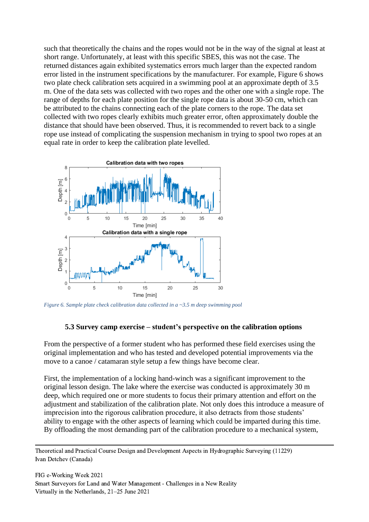such that theoretically the chains and the ropes would not be in the way of the signal at least at short range. Unfortunately, at least with this specific SBES, this was not the case. The returned distances again exhibited systematics errors much larger than the expected random error listed in the instrument specifications by the manufacturer. For example, [Figure 6](#page-12-0) shows two plate check calibration sets acquired in a swimming pool at an approximate depth of 3.5 m. One of the data sets was collected with two ropes and the other one with a single rope. The range of depths for each plate position for the single rope data is about 30-50 cm, which can be attributed to the chains connecting each of the plate corners to the rope. The data set collected with two ropes clearly exhibits much greater error, often approximately double the distance that should have been observed. Thus, it is recommended to revert back to a single rope use instead of complicating the suspension mechanism in trying to spool two ropes at an equal rate in order to keep the calibration plate levelled.



<span id="page-12-0"></span>*Figure 6. Sample plate check calibration data collected in a ~3.5 m deep swimming pool*

#### **5.3 Survey camp exercise – student's perspective on the calibration options**

From the perspective of a former student who has performed these field exercises using the original implementation and who has tested and developed potential improvements via the move to a canoe / catamaran style setup a few things have become clear.

First, the implementation of a locking hand-winch was a significant improvement to the original lesson design. The lake where the exercise was conducted is approximately 30 m deep, which required one or more students to focus their primary attention and effort on the adjustment and stabilization of the calibration plate. Not only does this introduce a measure of imprecision into the rigorous calibration procedure, it also detracts from those students' ability to engage with the other aspects of learning which could be imparted during this time. By offloading the most demanding part of the calibration procedure to a mechanical system,

Theoretical and Practical Course Design and Development Aspects in Hydrographic Surveying (11229) Ivan Detchev (Canada)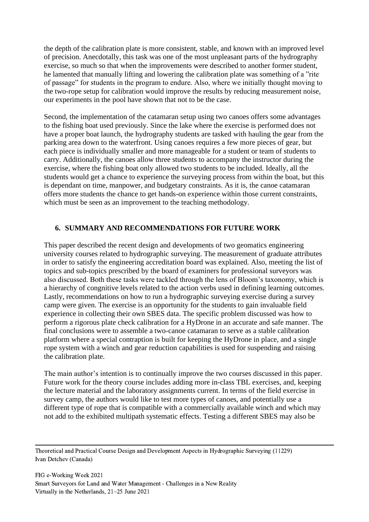the depth of the calibration plate is more consistent, stable, and known with an improved level of precision. Anecdotally, this task was one of the most unpleasant parts of the hydrography exercise, so much so that when the improvements were described to another former student, he lamented that manually lifting and lowering the calibration plate was something of a "rite of passage" for students in the program to endure. Also, where we initially thought moving to the two-rope setup for calibration would improve the results by reducing measurement noise, our experiments in the pool have shown that not to be the case.

Second, the implementation of the catamaran setup using two canoes offers some advantages to the fishing boat used previously. Since the lake where the exercise is performed does not have a proper boat launch, the hydrography students are tasked with hauling the gear from the parking area down to the waterfront. Using canoes requires a few more pieces of gear, but each piece is individually smaller and more manageable for a student or team of students to carry. Additionally, the canoes allow three students to accompany the instructor during the exercise, where the fishing boat only allowed two students to be included. Ideally, all the students would get a chance to experience the surveying process from within the boat, but this is dependant on time, manpower, and budgetary constraints. As it is, the canoe catamaran offers more students the chance to get hands-on experience within those current constraints, which must be seen as an improvement to the teaching methodology.

### **6. SUMMARY AND RECOMMENDATIONS FOR FUTURE WORK**

This paper described the recent design and developments of two geomatics engineering university courses related to hydrographic surveying. The measurement of graduate attributes in order to satisfy the engineering accreditation board was explained. Also, meeting the list of topics and sub-topics prescribed by the board of examiners for professional surveyors was also discussed. Both these tasks were tackled through the lens of Bloom's taxonomy, which is a hierarchy of congnitive levels related to the action verbs used in defining learning outcomes. Lastly, recommendations on how to run a hydrographic surveying exercise during a survey camp were given. The exercise is an opportunity for the students to gain invaluable field experience in collecting their own SBES data. The specific problem discussed was how to perform a rigorous plate check calibration for a HyDrone in an accurate and safe manner. The final conclusions were to assemble a two-canoe catamaran to serve as a stable calibration platform where a special contraption is built for keeping the HyDrone in place, and a single rope system with a winch and gear reduction capabilities is used for suspending and raising the calibration plate.

The main author's intention is to continually improve the two courses discussed in this paper. Future work for the theory course includes adding more in-class TBL exercises, and, keeping the lecture material and the laboratory assignments current. In terms of the field exercise in survey camp, the authors would like to test more types of canoes, and potentially use a different type of rope that is compatible with a commercially available winch and which may not add to the exhibited multipath systematic effects. Testing a different SBES may also be

Theoretical and Practical Course Design and Development Aspects in Hydrographic Surveying (11229) Ivan Detchev (Canada)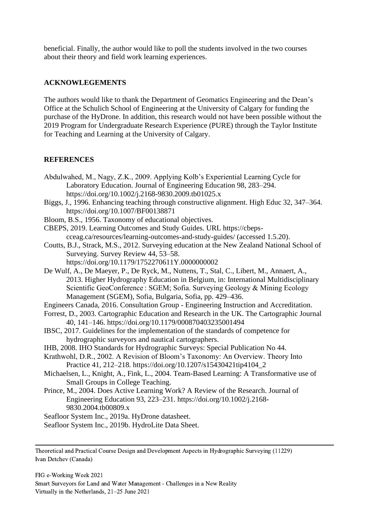beneficial. Finally, the author would like to poll the students involved in the two courses about their theory and field work learning experiences.

# **ACKNOWLEGEMENTS**

The authors would like to thank the Department of Geomatics Engineering and the Dean's Office at the Schulich School of Engineering at the University of Calgary for funding the purchase of the HyDrone. In addition, this research would not have been possible without the 2019 Program for Undergraduate Research Experience (PURE) through the Taylor Institute for Teaching and Learning at the University of Calgary.

# **REFERENCES**

- Abdulwahed, M., Nagy, Z.K., 2009. Applying Kolb's Experiential Learning Cycle for Laboratory Education. Journal of Engineering Education 98, 283–294. https://doi.org/10.1002/j.2168-9830.2009.tb01025.x
- Biggs, J., 1996. Enhancing teaching through constructive alignment. High Educ 32, 347–364. https://doi.org/10.1007/BF00138871
- Bloom, B.S., 1956. Taxonomy of educational objectives.

CBEPS, 2019. Learning Outcomes and Study Guides. URL https://cbepscceag.ca/resources/learning-outcomes-and-study-guides/ (accessed 1.5.20).

- Coutts, B.J., Strack, M.S., 2012. Surveying education at the New Zealand National School of Surveying. Survey Review 44, 53–58.
	- https://doi.org/10.1179/1752270611Y.0000000002
- De Wulf, A., De Maeyer, P., De Ryck, M., Nuttens, T., Stal, C., Libert, M., Annaert, A., 2013. Higher Hydrography Education in Belgium, in: International Multidisciplinary Scientific GeoConference : SGEM; Sofia. Surveying Geology & Mining Ecology Management (SGEM), Sofia, Bulgaria, Sofia, pp. 429–436.
- Engineers Canada, 2016. Consultation Group Engineering Instruction and Accreditation.
- Forrest, D., 2003. Cartographic Education and Research in the UK. The Cartographic Journal 40, 141–146. https://doi.org/10.1179/000870403235001494
- IBSC, 2017. Guidelines for the implementation of the standards of competence for hydrographic surveyors and nautical cartographers.
- IHB, 2008. IHO Standards for Hydrographic Surveys: Special Publication No 44.
- Krathwohl, D.R., 2002. A Revision of Bloom's Taxonomy: An Overview. Theory Into Practice 41, 212–218. https://doi.org/10.1207/s15430421tip4104\_2
- Michaelsen, L., Knight, A., Fink, L., 2004. Team-Based Learning: A Transformative use of Small Groups in College Teaching.
- Prince, M., 2004. Does Active Learning Work? A Review of the Research. Journal of Engineering Education 93, 223–231. https://doi.org/10.1002/j.2168- 9830.2004.tb00809.x
- Seafloor System Inc., 2019a. HyDrone datasheet.
- Seafloor System Inc., 2019b. HydroLite Data Sheet.

Theoretical and Practical Course Design and Development Aspects in Hydrographic Surveying (11229) Ivan Detchev (Canada)